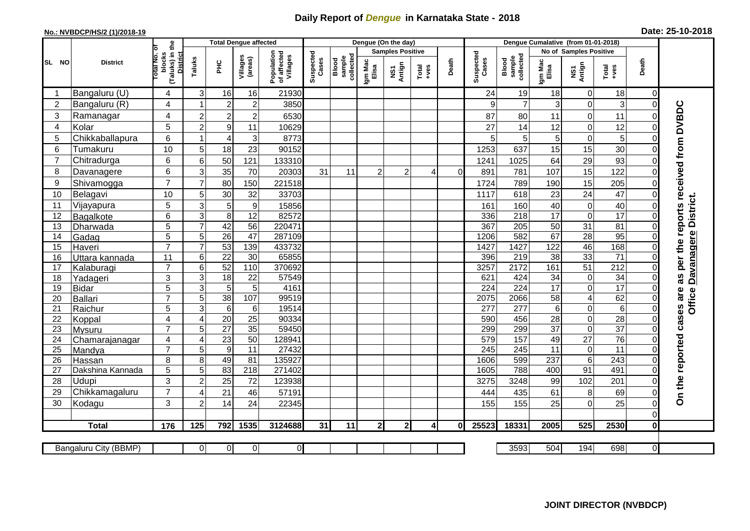## **Daily Report of** *Dengue* **in Karnataka State - 2018**

## **No.: NVBDCP/HS/2 (1)/2018-19 Date: 25-10-2018**

|                | <b>District</b>         |                                       | <b>Total Dengue affected</b> |                             |                     |                                       |                    |                              |                         | Dengue (On the day) |                 |          |                    |                              |                      |                                |                  |                      |                                     |
|----------------|-------------------------|---------------------------------------|------------------------------|-----------------------------|---------------------|---------------------------------------|--------------------|------------------------------|-------------------------|---------------------|-----------------|----------|--------------------|------------------------------|----------------------|--------------------------------|------------------|----------------------|-------------------------------------|
|                |                         |                                       |                              |                             |                     |                                       |                    |                              | <b>Samples Positive</b> |                     |                 |          |                    | No of Samples Positive       |                      |                                |                  |                      |                                     |
| SL NO          |                         | (Taluks) in the<br>otal No.<br>blocks | Taluks                       | PHC                         | Villages<br>(areas) | Population<br>of affected<br>Villages | Suspected<br>Cases | Blood<br>sample<br>collected | Igm Mac<br>Elisa        | NS1<br>Antign       | Total<br>$-ves$ | Death    | Suspected<br>Cases | Blood<br>sample<br>collected | Igm Mac<br>Elisa     | NS1<br>Antign<br>Total<br>+ves | Death            |                      |                                     |
|                | Bangaluru (U)           | 4                                     | 3                            | 16                          | 16                  | 21930                                 |                    |                              |                         |                     |                 |          | 24                 | 19                           | 18                   | $\overline{0}$                 | 18               | 0                    |                                     |
| $\overline{2}$ | Bangaluru (R)           | 4                                     | $\overline{1}$               | $\overline{a}$              | $\overline{2}$      | 3850                                  |                    |                              |                         |                     |                 |          | 9                  | $\overline{7}$               | 3                    | $\mathbf 0$                    | 3                | $\overline{0}$       |                                     |
| 3              | Ramanagar               | 4                                     | $\overline{2}$               | $\overline{a}$              | $\overline{c}$      | 6530                                  |                    |                              |                         |                     |                 |          | 87                 | 80                           | 11                   | $\mathbf 0$                    | 11               | $\Omega$             | per the reports received from DVBDC |
| 4              | Kolar                   | 5                                     | $\overline{c}$               | $\boldsymbol{9}$            | 11                  | 10629                                 |                    |                              |                         |                     |                 |          | 27                 | 14                           | 12                   | $\mathbf 0$                    | 12               | $\Omega$             |                                     |
| 5              | Chikkaballapura         | 6                                     | $\mathbf{1}$                 | 4                           | 3                   | 8773                                  |                    |                              |                         |                     |                 |          | 5                  | 5                            | 5                    | $\mathbf 0$                    | 5                | 0                    |                                     |
| 6              | Tumakuru                | 10                                    | 5                            | 18                          | 23                  | 90152                                 |                    |                              |                         |                     |                 |          | 1253               | 637                          | 15                   | 15                             | 30               | 0                    |                                     |
| 7              | Chitradurga             | 6                                     | 6                            | 50                          | 121                 | 133310                                |                    |                              |                         |                     |                 |          | 1241               | 1025                         | 64                   | 29                             | 93               | $\Omega$             |                                     |
| 8              | Davanagere              | 6                                     | 3                            | 35                          | 70                  | 20303                                 | 31                 | 11                           | 2                       | $\overline{c}$      | $\overline{4}$  | $\Omega$ | 891                | 781                          | 107                  | 15                             | 122              | $\Omega$             |                                     |
| 9              | Shivamogga              | $\overline{7}$                        | $\overline{7}$               | 80                          | 150                 | 221518                                |                    |                              |                         |                     |                 |          | 1724               | 789                          | 190                  | 15                             | 205              | $\Omega$             |                                     |
| 10             | Belagavi                | 10                                    | 5                            | 30                          | 32                  | 33703                                 |                    |                              |                         |                     |                 |          | 1117               | 618                          | 23                   | 24                             | 47               | $\mathbf 0$          |                                     |
| 11             | Vijayapura              | 5                                     | 3                            | $\overline{5}$              | $\boldsymbol{9}$    | 15856                                 |                    |                              |                         |                     |                 |          | 161                | 160                          | 40                   | $\mathsf{O}\xspace$            | 40               | $\Omega$             | <b>District</b>                     |
| 12             | Bagalkote               | 6                                     | 3                            | $\bf 8$                     | 12                  | 82572                                 |                    |                              |                         |                     |                 |          | 336                | 218                          | $\overline{17}$      | $\boldsymbol{0}$               | $\overline{17}$  | $\Omega$             |                                     |
| 13             | Dharwada                | 5                                     | $\overline{7}$               | 42                          | $\overline{56}$     | 220471                                |                    |                              |                         |                     |                 |          | 367                | 205                          | 50                   | 31                             | 81               | 0                    |                                     |
| 14             | Gadag                   | $\overline{5}$                        | 5                            | 26                          | $\overline{47}$     | 287109                                |                    |                              |                         |                     |                 |          | 1206               | 582                          | 67                   | 28                             | 95               | $\Omega$             |                                     |
| 15             | Haveri                  | $\overline{7}$                        | $\overline{7}$               | 53                          | 139                 | 433732                                |                    |                              |                         |                     |                 |          | 1427               | 1427                         | 122                  | 46                             | 168              | $\Omega$             | <b>Davanagere</b>                   |
| 16             | Uttara kannada          | 11                                    | 6                            | $\overline{22}$             | 30                  | 65855                                 |                    |                              |                         |                     |                 |          | 396                | 219                          | $\overline{38}$      | 33                             | $\overline{71}$  |                      |                                     |
| 17             | Kalaburagi              | $\overline{7}$                        | 6                            | 52                          | 110                 | 370692                                |                    |                              |                         |                     |                 |          | 3257               | 2172                         | 161                  | 51                             | $\overline{212}$ |                      |                                     |
| 18             | Yadageri                | 3                                     | 3                            | $\overline{18}$             | 22                  | 57549                                 |                    |                              |                         |                     |                 |          | 621                | 424                          | 34                   | $\mathbf 0$                    | $\overline{34}$  | $\Omega$             | 8g                                  |
| 19             | <b>Bidar</b>            | 5<br>$\overline{7}$                   | 3                            | $\overline{5}$              | $\sqrt{5}$          | 4161                                  |                    |                              |                         |                     |                 |          | 224                | $\overline{224}$             | 17                   | $\mathbf 0$                    | 17               | $\Omega$             |                                     |
| 20             | Ballari                 |                                       | 5<br>$\overline{3}$          | 38                          | 107                 | 99519                                 |                    |                              |                         |                     |                 |          | 2075<br>277        | 2066<br>$\overline{277}$     | 58                   | $\overline{4}$<br>$\mathbf 0$  | 62               | $\Omega$<br>$\Omega$ | <b>Office</b>                       |
| 21<br>22       | Raichur                 | 5<br>$\overline{4}$                   | $\overline{4}$               | $\sigma$<br>$\overline{20}$ | 6<br>25             | 19514<br>90334                        |                    |                              |                         |                     |                 |          | 590                | 456                          | $6\phantom{1}$<br>28 | $\boldsymbol{0}$               | 6<br>28          | 0                    |                                     |
| 23             | Koppal<br><b>Mysuru</b> | $\overline{7}$                        | $\overline{5}$               | $\overline{27}$             | 35                  | 59450                                 |                    |                              |                         |                     |                 |          | 299                | 299                          | $\overline{37}$      | $\overline{0}$                 | $\overline{37}$  | $\Omega$             |                                     |
| 24             | Chamarajanagar          | 4                                     | $\overline{4}$               | 23                          | $\overline{50}$     | 128941                                |                    |                              |                         |                     |                 |          | 579                | 157                          | 49                   | $\overline{27}$                | 76               | $\Omega$             |                                     |
| 25             | Mandya                  | $\overline{7}$                        | 5                            | Θ                           | $\overline{11}$     | 27432                                 |                    |                              |                         |                     |                 |          | 245                | 245                          | 11                   | $\mathbf 0$                    | $\overline{11}$  | $\Omega$             |                                     |
| 26             | Hassan                  | 8                                     | 8                            | 49                          | 81                  | 135927                                |                    |                              |                         |                     |                 |          | 1606               | 599                          | 237                  | $\,6\,$                        | 243              | $\Omega$             | On the reported cases are           |
| 27             | Dakshina Kannada        | 5                                     | 5                            | 83                          | $\overline{218}$    | 271402                                |                    |                              |                         |                     |                 |          | 1605               | 788                          | 400                  | 91                             | 491              | $\Omega$             |                                     |
| 28             | <b>Udupi</b>            | 3                                     | $\overline{a}$               | $\overline{25}$             | 72                  | 123938                                |                    |                              |                         |                     |                 |          | 3275               | 3248                         | 99                   | 102                            | 201              | $\Omega$             |                                     |
| 29             | Chikkamagaluru          | $\overline{7}$                        | 4                            | 21                          | 46                  | 57191                                 |                    |                              |                         |                     |                 |          | 444                | 435                          | 61                   | 8                              | 69               | 0                    |                                     |
| 30             | Kodagu                  | 3                                     | $\overline{c}$               | 14                          | 24                  | 22345                                 |                    |                              |                         |                     |                 |          | 155                | 155                          | 25                   | $\overline{0}$                 | 25               | $\Omega$             |                                     |
|                |                         |                                       |                              |                             |                     |                                       |                    |                              |                         |                     |                 |          |                    |                              |                      |                                |                  | $\Omega$             |                                     |
|                | <b>Total</b>            | 176                                   | 125                          | 792                         | 1535                | 3124688                               | 31                 | 11                           | $\mathbf{2}$            | 2 <sub>l</sub>      | $\overline{4}$  | $\bf{0}$ | 25523              | 18331                        | 2005                 | 525                            | 2530             | 0                    |                                     |
|                |                         |                                       |                              |                             |                     |                                       |                    |                              |                         |                     |                 |          |                    |                              |                      |                                |                  |                      |                                     |
|                | Bangaluru City (BBMP)   |                                       | $\Omega$                     | $\overline{0}$              | $\overline{0}$      | $\overline{0}$                        |                    |                              |                         |                     |                 |          |                    | 3593                         | 504                  | 194                            | 698              | $\overline{0}$       |                                     |